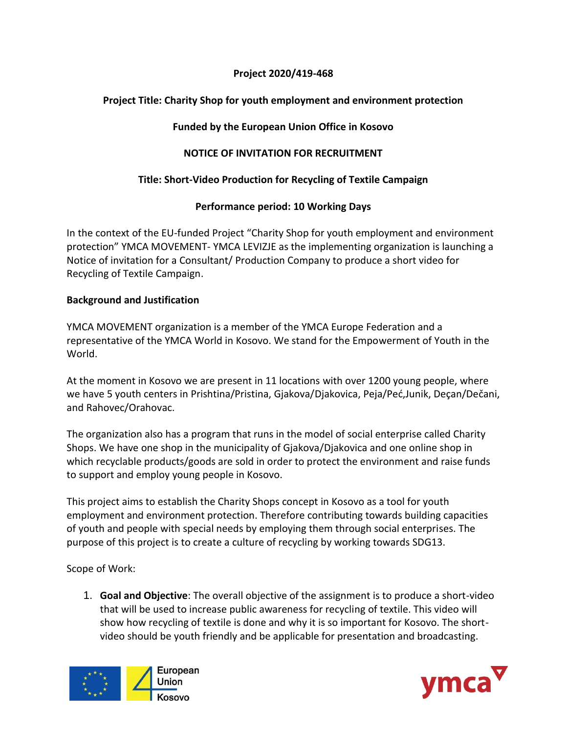#### **Project 2020/419-468**

# **Project Title: Charity Shop for youth employment and environment protection**

## **Funded by the European Union Office in Kosovo**

# **NOTICE OF INVITATION FOR RECRUITMENT**

## **Title: Short-Video Production for Recycling of Textile Campaign**

## **Performance period: 10 Working Days**

In the context of the EU-funded Project "Charity Shop for youth employment and environment protection" YMCA MOVEMENT- YMCA LEVIZJE as the implementing organization is launching a Notice of invitation for a Consultant/ Production Company to produce a short video for Recycling of Textile Campaign.

## **Background and Justification**

YMCA MOVEMENT organization is a member of the YMCA Europe Federation and a representative of the YMCA World in Kosovo. We stand for the Empowerment of Youth in the World.

At the moment in Kosovo we are present in 11 locations with over 1200 young people, where we have 5 youth centers in Prishtina/Pristina, Gjakova/Djakovica, Peja/Peć,Junik, Deçan/Dečani, and Rahovec/Orahovac.

The organization also has a program that runs in the model of social enterprise called Charity Shops. We have one shop in the municipality of Gjakova/Djakovica and one online shop in which recyclable products/goods are sold in order to protect the environment and raise funds to support and employ young people in Kosovo.

This project aims to establish the Charity Shops concept in Kosovo as a tool for youth employment and environment protection. Therefore contributing towards building capacities of youth and people with special needs by employing them through social enterprises. The purpose of this project is to create a culture of recycling by working towards SDG13.

Scope of Work:

1. **Goal and Objective**: The overall objective of the assignment is to produce a short-video that will be used to increase public awareness for recycling of textile. This video will show how recycling of textile is done and why it is so important for Kosovo. The shortvideo should be youth friendly and be applicable for presentation and broadcasting.



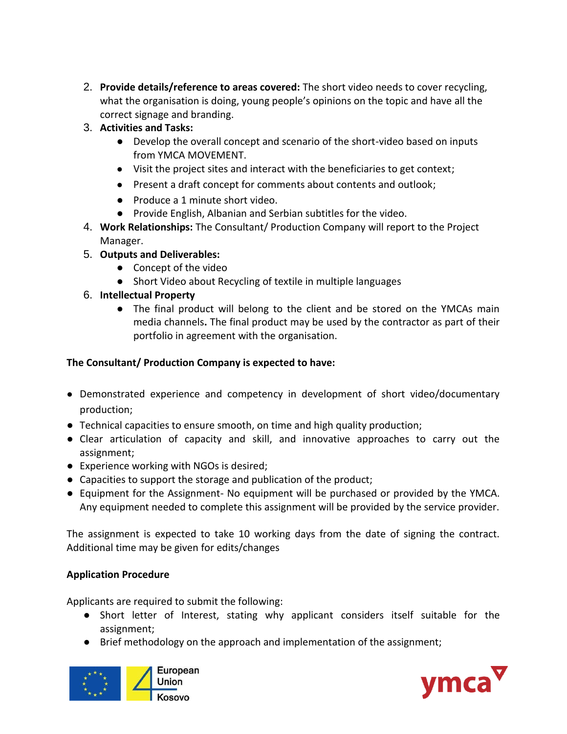- 2. **Provide details/reference to areas covered:** The short video needs to cover recycling, what the organisation is doing, young people's opinions on the topic and have all the correct signage and branding.
- 3. **Activities and Tasks:**
	- Develop the overall concept and scenario of the short-video based on inputs from YMCA MOVEMENT.
	- Visit the project sites and interact with the beneficiaries to get context;
	- Present a draft concept for comments about contents and outlook;
	- Produce a 1 minute short video.
	- Provide English, Albanian and Serbian subtitles for the video.
- 4. **Work Relationships:** The Consultant/ Production Company will report to the Project Manager.
- 5. **Outputs and Deliverables:**
	- Concept of the video
	- Short Video about Recycling of textile in multiple languages
- 6. **Intellectual Property**
	- The final product will belong to the client and be stored on the YMCAs main media channels**.** The final product may be used by the contractor as part of their portfolio in agreement with the organisation.

## **The Consultant/ Production Company is expected to have:**

- Demonstrated experience and competency in development of short video/documentary production;
- Technical capacities to ensure smooth, on time and high quality production;
- Clear articulation of capacity and skill, and innovative approaches to carry out the assignment;
- Experience working with NGOs is desired;
- Capacities to support the storage and publication of the product;
- Equipment for the Assignment- No equipment will be purchased or provided by the YMCA. Any equipment needed to complete this assignment will be provided by the service provider.

The assignment is expected to take 10 working days from the date of signing the contract. Additional time may be given for edits/changes

#### **Application Procedure**

Applicants are required to submit the following:

- Short letter of Interest, stating why applicant considers itself suitable for the assignment;
- Brief methodology on the approach and implementation of the assignment;